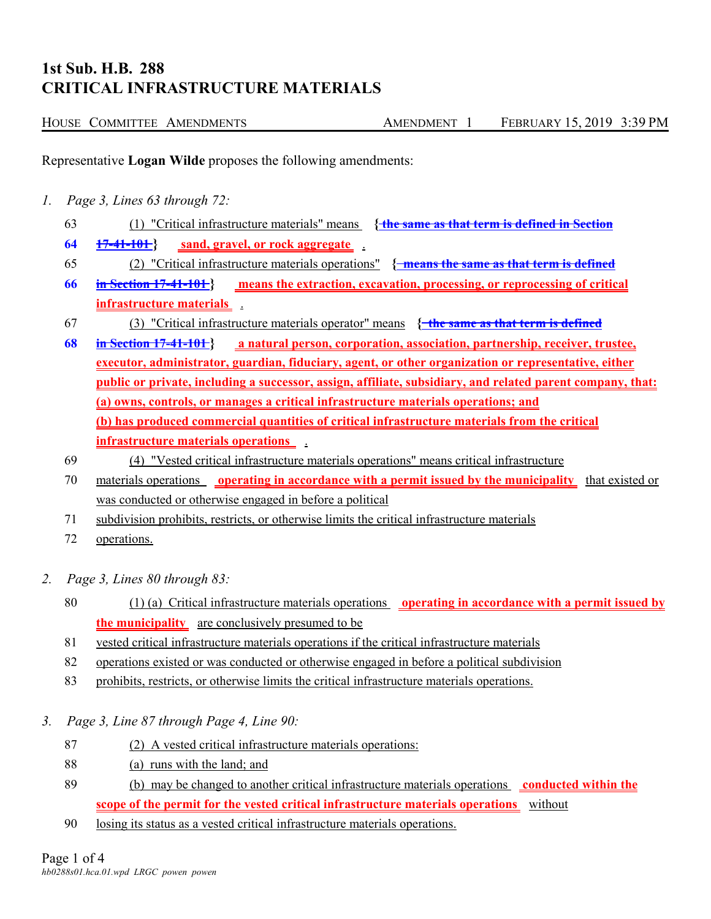## **1st Sub. H.B. 288 CRITICAL INFRASTRUCTURE MATERIALS**

|  | HOUSE COMMITTEE AMENDMENTS | AMENDMENT 1 | FEBRUARY 15, 2019 3:39 PM |  |
|--|----------------------------|-------------|---------------------------|--|
|  |                            |             |                           |  |

Representative **Logan Wilde** proposes the following amendments:

- *1. Page 3, Lines 63 through 72:*
	- 63 (1) "Critical infrastructure materials" means **{ the same as that term is defined in Section**
	- **64 17-41-101 } sand, gravel, or rock aggregate** .
	- 65 (2) "Critical infrastructure materials operations" **{ means the same as that term is defined**
	- **66 in Section 17-41-101 } means the extraction, excavation, processing, or reprocessing of critical infrastructure materials** .
	- 67 (3) "Critical infrastructure materials operator" means **{ the same as that term is defined**
	- **68 in Section 17-41-101 } a natural person, corporation, association, partnership, receiver, trustee, executor, administrator, guardian, fiduciary, agent, or other organization or representative, either public or private, including a successor, assign, affiliate, subsidiary, and related parent company, that: (a) owns, controls, or manages a critical infrastructure materials operations; and (b) has produced commercial quantities of critical infrastructure materials from the critical infrastructure materials operations** .
	- 69 (4) "Vested critical infrastructure materials operations" means critical infrastructure
	- 70 materials operations **operating in accordance with a permit issued by the municipality** that existed or was conducted or otherwise engaged in before a political
	- 71 subdivision prohibits, restricts, or otherwise limits the critical infrastructure materials
	- 72 operations.
- *2. Page 3, Lines 80 through 83:*
	- 80 (1) (a) Critical infrastructure materials operations **operating in accordance with a permit issued by the municipality** are conclusively presumed to be
	- 81 vested critical infrastructure materials operations if the critical infrastructure materials
	- 82 operations existed or was conducted or otherwise engaged in before a political subdivision
	- 83 prohibits, restricts, or otherwise limits the critical infrastructure materials operations.
- *3. Page 3, Line 87 through Page 4, Line 90:*
	- 87 (2) A vested critical infrastructure materials operations:
	- 88 (a) runs with the land; and
	- 89 (b) may be changed to another critical infrastructure materials operations **conducted within the <u>scope of the permit for the vested critical infrastructure materials operations** without</u>
	- 90 losing its status as a vested critical infrastructure materials operations.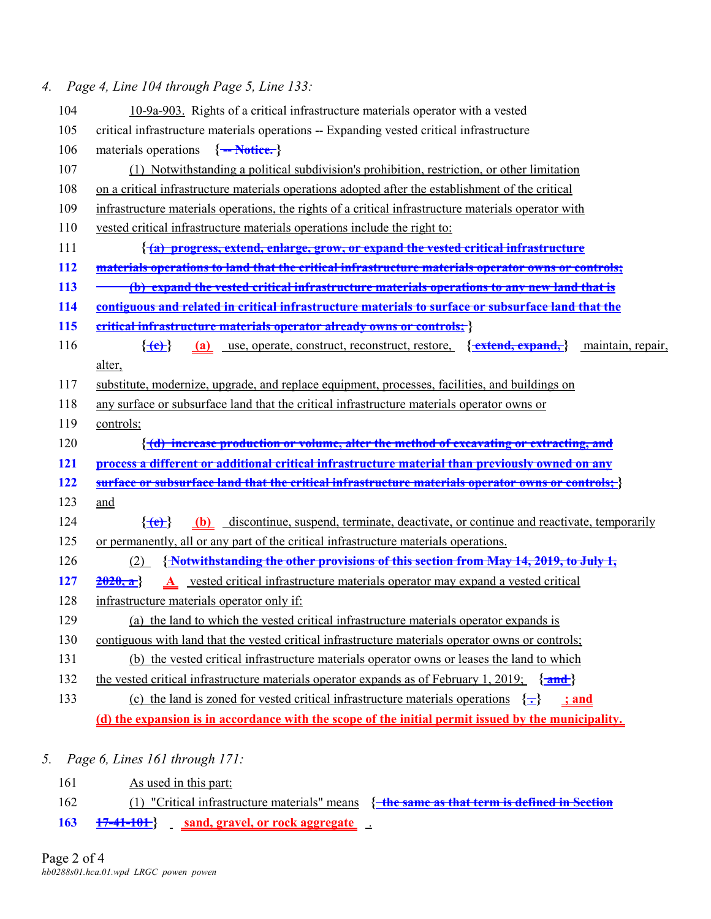*4. Page 4, Line 104 through Page 5, Line 133:*

| 104        | 10-9a-903. Rights of a critical infrastructure materials operator with a vested                                                                    |
|------------|----------------------------------------------------------------------------------------------------------------------------------------------------|
| 105        | critical infrastructure materials operations -- Expanding vested critical infrastructure                                                           |
| 106        | materials operations $\left\{\text{-} \text{Notice.}\right\}$                                                                                      |
| 107        | (1) Notwithstanding a political subdivision's prohibition, restriction, or other limitation                                                        |
| 108        | on a critical infrastructure materials operations adopted after the establishment of the critical                                                  |
| 109        | infrastructure materials operations, the rights of a critical infrastructure materials operator with                                               |
| 110        | vested critical infrastructure materials operations include the right to:                                                                          |
| 111        | $\{\hat{a}\}\$ progress, extend, enlarge, grow, or expand the vested critical infrastructure                                                       |
| <b>112</b> | <u>materials operations to land that the critical infrastructure materials operator owns or controls;</u>                                          |
| <b>113</b> | (b) expand the vested critical infrastructure materials operations to any new land that is                                                         |
| <b>114</b> | contiguous and related in critical infrastructure materials to surface or subsurface land that the                                                 |
| <b>115</b> | critical infrastructure materials operator already owns or controls; }                                                                             |
| 116        | $\{\pm c\}$<br>(a) use, operate, construct, reconstruct, restore, {cartend, expand,} maintain, repair,                                             |
|            | alter,                                                                                                                                             |
| 117        | substitute, modernize, upgrade, and replace equipment, processes, facilities, and buildings on                                                     |
| 118        | any surface or subsurface land that the critical infrastructure materials operator owns or                                                         |
| 119        | controls;                                                                                                                                          |
| 120        | $\{ \cdot \tau \}$ increase production or volume, alter the method of excavating or extracting, and                                                |
| 121        | process a different or additional critical infrastructure material than previously owned on any                                                    |
| <b>122</b> | surface or subsurface land that the critical infrastructure materials operator owns or controls; {                                                 |
| 123        | and                                                                                                                                                |
| 124        | (b) discontinue, suspend, terminate, deactivate, or continue and reactivate, temporarily<br>$\{\textcolor{blue}{\{\textcolor{blue}{\epsilon}\}}\}$ |
| 125        | or permanently, all or any part of the critical infrastructure materials operations.                                                               |
| 126        | <u>{Notwithstanding the other provisions of this section from May 14, 2019, to July 1,</u><br>(2)                                                  |
| <b>127</b> | A vested critical infrastructure materials operator may expand a vested critical<br>2020, a                                                        |
| 128        | infrastructure materials operator only if:                                                                                                         |
| 129        | (a) the land to which the vested critical infrastructure materials operator expands is                                                             |
| 130        | contiguous with land that the vested critical infrastructure materials operator owns or controls;                                                  |
| 131        | (b) the vested critical infrastructure materials operator owns or leases the land to which                                                         |
| 132        | the vested critical infrastructure materials operator expands as of February 1, 2019; $\{\text{and}\}$                                             |
| 133        | (c) the land is zoned for vested critical infrastructure materials operations $\{\frac{\cdot}{\cdot}\}$<br>; and                                   |
|            | (d) the expansion is in accordance with the scope of the initial permit issued by the municipality.                                                |

*5. Page 6, Lines 161 through 171:*

161 As used in this part:

162 (1) "Critical infrastructure materials" means **{ the same as that term is defined in Section 163 17-41-101 } sand, gravel, or rock aggregate** .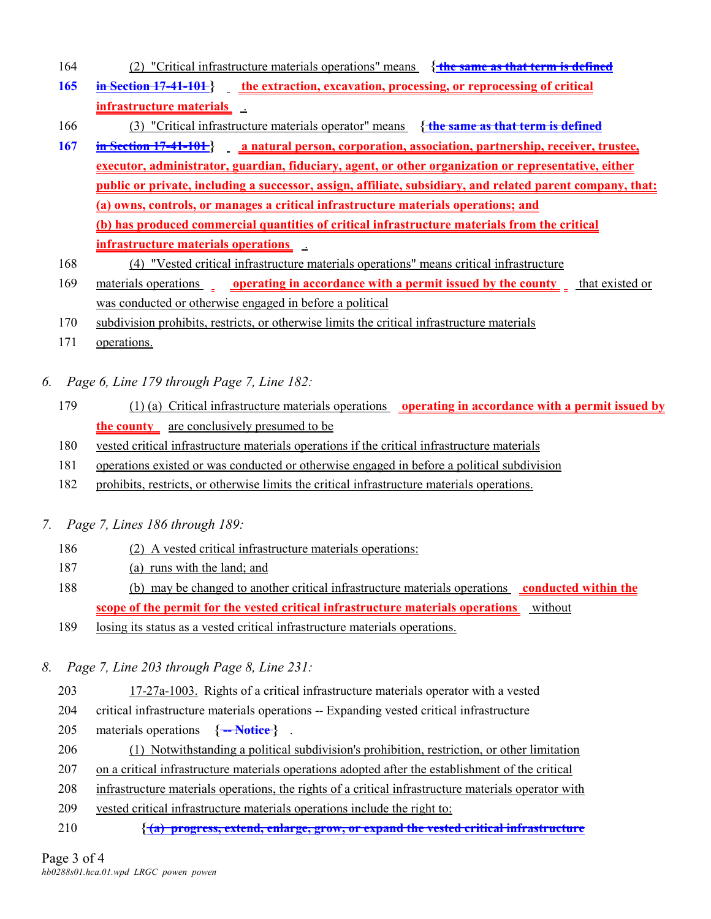- 164 (2) "Critical infrastructure materials operations" means **{ the same as that term is defined**
- 165 in Section 17-41-101 **contains the extraction, excavation, processing, or reprocessing of critical infrastructure materials** .
- 166 (3) "Critical infrastructure materials operator" means **{ the same as that term is defined**
- **167 in Section 17-41-101 } a natural person, corporation, association, partnership, receiver, trustee, executor, administrator, guardian, fiduciary, agent, or other organization or representative, either public or private, including a successor, assign, affiliate, subsidiary, and related parent company, that: (a) owns, controls, or manages a critical infrastructure materials operations; and (b) has produced commercial quantities of critical infrastructure materials from the critical infrastructure materials operations** .
- 168 (4) "Vested critical infrastructure materials operations" means critical infrastructure
- 169 materials operations **operating in accordance with a permit issued by the county** that existed or was conducted or otherwise engaged in before a political
- 170 subdivision prohibits, restricts, or otherwise limits the critical infrastructure materials
- 171 operations.
- *6. Page 6, Line 179 through Page 7, Line 182:*
	- 179 (1) (a) Critical infrastructure materials operations **operating in accordance with a permit issued by the county** are conclusively presumed to be
	- 180 vested critical infrastructure materials operations if the critical infrastructure materials
	- 181 operations existed or was conducted or otherwise engaged in before a political subdivision
	- 182 prohibits, restricts, or otherwise limits the critical infrastructure materials operations.
- *7. Page 7, Lines 186 through 189:*
	- 186 (2) A vested critical infrastructure materials operations:
	- 187 (a) runs with the land; and
	- 188 (b) may be changed to another critical infrastructure materials operations **conducted within the scope of the permit for the vested critical infrastructure materials operations** without
	- 189 losing its status as a vested critical infrastructure materials operations.
- *8. Page 7, Line 203 through Page 8, Line 231:*

203 17-27a-1003. Rights of a critical infrastructure materials operator with a vested

204 critical infrastructure materials operations -- Expanding vested critical infrastructure

- 205 materials operations **{ -- Notice }** .
- 206 (1) Notwithstanding a political subdivision's prohibition, restriction, or other limitation
- 207 on a critical infrastructure materials operations adopted after the establishment of the critical
- 208 infrastructure materials operations, the rights of a critical infrastructure materials operator with
- 209 vested critical infrastructure materials operations include the right to:
- 210 **{ (a) progress, extend, enlarge, grow, or expand the vested critical infrastructure**